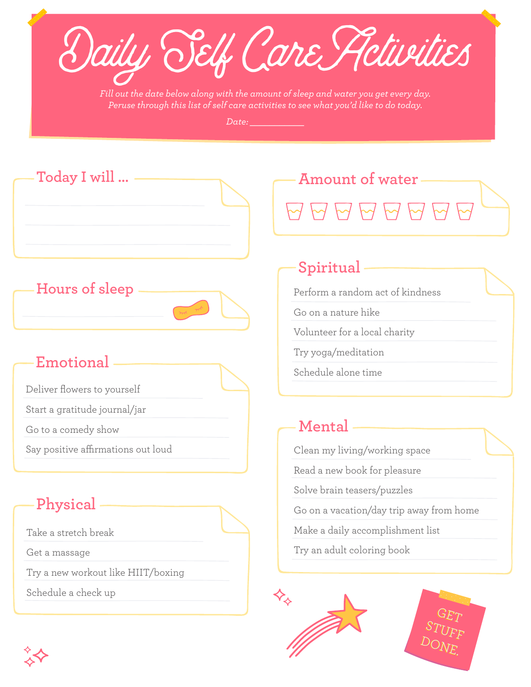Daily Self Care Activities

*Fill out the date below along with the amount of sleep and water you get every day. Peruse through this list of self care activities to see what you'd like to do today.*

*Date: \_\_\_\_\_\_\_\_\_\_\_*



**Hours of sleep**

### **Emotional**

Deliver flowers to yourself

Start a gratitude journal/jar

Go to a comedy show

Say positive affirmations out loud

# **Physical**

Take a stretch break

Get a massage

Try a new workout like HIIT/boxing

Schedule a check up

## **Spiritual**

Perform a random act of kindness

Go on a nature hike

Volunteer for a local charity

Try yoga/meditation

Schedule alone time

### **Mental**

Clean my living/working space

Read a new book for pleasure

Solve brain teasers/puzzles

Go on a vacation/day trip away from home

Make a daily accomplishment list

Try an adult coloring book